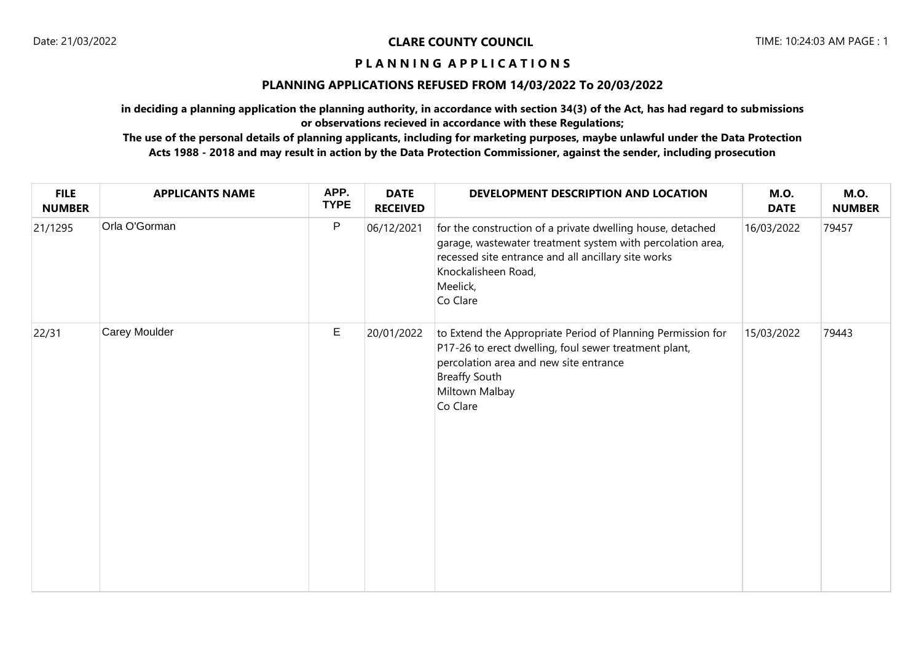## **P L A N N I N G A P P L I C A T I O N S**

## **PLANNING APPLICATIONS REFUSED FROM 14/03/2022 To 20/03/2022**

**in deciding a planning application the planning authority, in accordance with section 34(3) of the Act, has had regard to submissions or observations recieved in accordance with these Regulations;**

**The use of the personal details of planning applicants, including for marketing purposes, maybe unlawful under the Data Protection Acts 1988 - 2018 and may result in action by the Data Protection Commissioner, against the sender, including prosecution**

| <b>FILE</b><br><b>NUMBER</b> | <b>APPLICANTS NAME</b> | APP.<br><b>TYPE</b> | <b>DATE</b><br><b>RECEIVED</b> | DEVELOPMENT DESCRIPTION AND LOCATION                                                                                                                                                                                           | <b>M.O.</b><br><b>DATE</b> | <b>M.O.</b><br><b>NUMBER</b> |
|------------------------------|------------------------|---------------------|--------------------------------|--------------------------------------------------------------------------------------------------------------------------------------------------------------------------------------------------------------------------------|----------------------------|------------------------------|
| 21/1295                      | Orla O'Gorman          | ${\sf P}$           | 06/12/2021                     | for the construction of a private dwelling house, detached<br>garage, wastewater treatment system with percolation area,<br>recessed site entrance and all ancillary site works<br>Knockalisheen Road,<br>Meelick,<br>Co Clare | 16/03/2022                 | 79457                        |
| 22/31                        | Carey Moulder          | $\mathsf E$         | 20/01/2022                     | to Extend the Appropriate Period of Planning Permission for<br>P17-26 to erect dwelling, foul sewer treatment plant,<br>percolation area and new site entrance<br><b>Breaffy South</b><br>Miltown Malbay<br>Co Clare           | 15/03/2022                 | 79443                        |